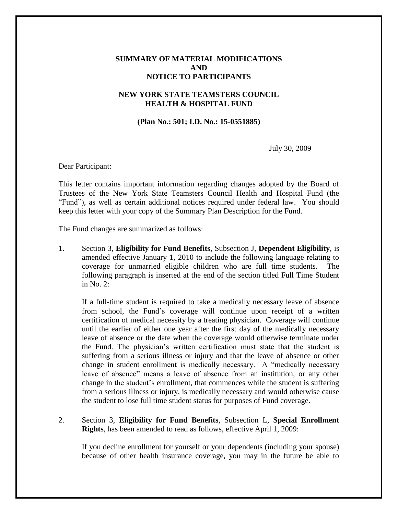## **SUMMARY OF MATERIAL MODIFICATIONS AND NOTICE TO PARTICIPANTS**

## **NEW YORK STATE TEAMSTERS COUNCIL HEALTH & HOSPITAL FUND**

## **(Plan No.: 501; I.D. No.: 15-0551885)**

July 30, 2009

Dear Participant:

This letter contains important information regarding changes adopted by the Board of Trustees of the New York State Teamsters Council Health and Hospital Fund (the "Fund"), as well as certain additional notices required under federal law. You should keep this letter with your copy of the Summary Plan Description for the Fund.

The Fund changes are summarized as follows:

1. Section 3, **Eligibility for Fund Benefits**, Subsection J, **Dependent Eligibility**, is amended effective January 1, 2010 to include the following language relating to coverage for unmarried eligible children who are full time students. The following paragraph is inserted at the end of the section titled Full Time Student in No. 2:

If a full-time student is required to take a medically necessary leave of absence from school, the Fund's coverage will continue upon receipt of a written certification of medical necessity by a treating physician. Coverage will continue until the earlier of either one year after the first day of the medically necessary leave of absence or the date when the coverage would otherwise terminate under the Fund. The physician's written certification must state that the student is suffering from a serious illness or injury and that the leave of absence or other change in student enrollment is medically necessary. A "medically necessary leave of absence" means a leave of absence from an institution, or any other change in the student's enrollment, that commences while the student is suffering from a serious illness or injury, is medically necessary and would otherwise cause the student to lose full time student status for purposes of Fund coverage.

2. Section 3, **Eligibility for Fund Benefits**, Subsection L, **Special Enrollment Rights**, has been amended to read as follows, effective April 1, 2009:

If you decline enrollment for yourself or your dependents (including your spouse) because of other health insurance coverage, you may in the future be able to